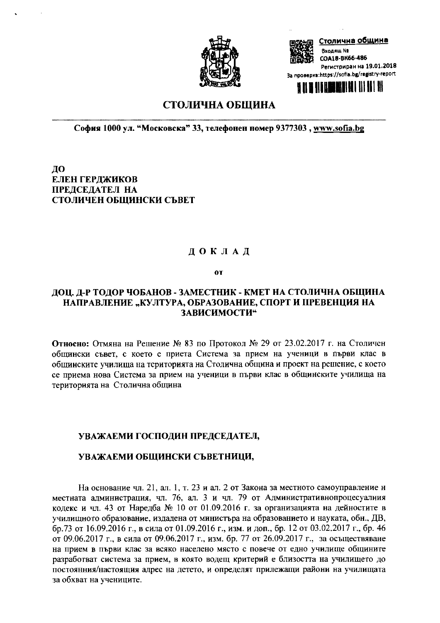

Столична община Входящ № COA18-BK66-486 Регистриран на 19.01.2018 За проверка:https://sofia.bg/registry-report **HREAIN ENTEL III II**I III

# СТОЛИЧНА ОБЩИНА

София 1000 ул. "Московска" 33, телефонен номер 9377303, www.sofia.bg

ДО ЕЛЕН ГЕРДЖИКОВ ПРЕДСЕДАТЕЛ НА СТОЛИЧЕН ОБЩИНСКИ СЪВЕТ

## ДОКЛАД

 $0T$ 

## ДОЦ. Д-Р ТОДОР ЧОБАНОВ - ЗАМЕСТНИК - КМЕТ НА СТОЛИЧНА ОБЩИНА НАПРАВЛЕНИЕ "КУЛТУРА, ОБРАЗОВАНИЕ, СПОРТ И ПРЕВЕНЦИЯ НА ЗАВИСИМОСТИ"

Относно: Отмяна на Решение № 83 по Протокол № 29 от 23.02.2017 г. на Столичен общински съвет, с което е приета Система за прием на ученици в първи клас в общинските училища на територията на Столична община и проект на решение, с което се приема нова Система за прием на ученици в първи клас в общинските училища на територията на Столична община

## УВАЖАЕМИ ГОСПОДИН ПРЕДСЕДАТЕЛ,

#### УВАЖАЕМИ ОБЩИНСКИ СЪВЕТНИЦИ,

На основание чл. 21, ал. 1, т. 23 и ал. 2 от Закона за местното самоуправление н местната администрация, чл. 76, ал. 3 и чл. 79 от Административнопроцесуалния кодекс и чл. 43 от Наредба № 10 от 01.09.2016 г. за организацията на дейностите в училищното образование, издадена от министъра на образованието и науката, обн., ДВ, бр.73 от 16.09.2016 г., в сила от 01.09.2016 г., изм. и доп., бр. 12 от 03.02.2017 г., бр. 46 от 09.06.2017 г., в сила от 09.06.2017 г., изм. бр. 77 от 26.09.2017 г., за осъществяване на прием в първи клас за всяко населено място с повече от едно училище общините разработват система за прием, в която водещ критерий е близостта на училището до постоянния/настоящия адрес на детето, и определят прилежащи райони на училищата за обхват на учениците.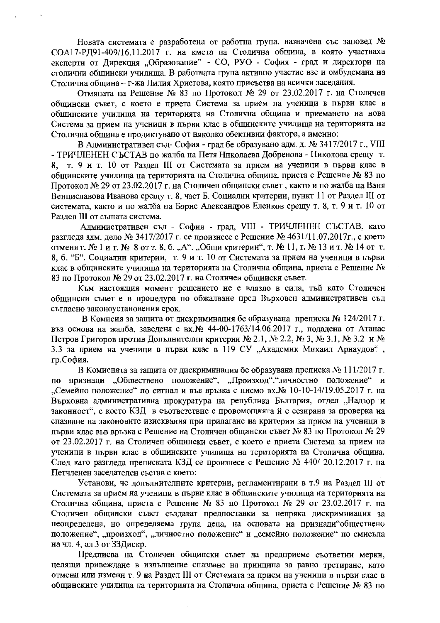Новата системата е разработена от работна група, назначена със заповед № СОА17-РД91-409/16.11.2017 г. на кмета на Столична община, в която участваха експерти от Дирекция "Образование" - СО, РУО - София - град и директори на столични общински училища. В работната група активно участие взе и омбудсмана на Столична община - г-жа Лилия Христова, която присъства на всички заседания.

Отмяната на Решение № 83 по Протокол № 29 от 23.02.2017 г. на Столичен общински съвет, с което е приета Система за прием на ученици в първи клас в общинските училища на територията на Столична община и приемането на нова Система за прием на ученици в първи клас в общинските училища на територията на Столична община е продиктувано от няколко обективни фактора, а именно:

В Административен съд-София - град бе образувано адм. д. № 3417/2017 г., VIII - ТРИЧЛЕНЕН СЪСТАВ по жалба на Петя Николаева Добренова - Николова срещу т. 8. т. 9 и т. 10 от Разлел III от Системата за прием на ученици в първи клас в общинските училища на територията на Столична община, приета с Решение № 83 по Протокол № 29 от 23.02.2017 г. на Столичен общински съвет, както и по жалба на Ваня Венциславова Иванова срещу т. 8, част Б. Социални критерии, пункт 11 от Раздел III от системата, както и по жалба на Борис Александров Еленков срещу т. 8, т. 9 и т. 10 от Разлел III от същата система.

Административен съд - София - град, VIII - ТРИЧЛЕНЕН СЪСТАВ, като разглела алм. лело № 3417/2017 г. се произнесе с Решение № 4631/11.07.2017г., с което отменя т. № 1 и т. № 8 от т. 8, б. "А". "Общи критерии", т. № 11, т. № 13 и т. № 14 от т. 8, б. "Б". Социални критерии, т. 9 и т. 10 от Системата за прием на ученици в първи клас в общинските училища на територията на Столична община, приета с Решение № 83 по Протокол № 29 от 23.02.2017 г. на Столичен общински съвет.

Към настоящия момент решението не е влязло в сила, тъй като Столичен общински съвет е в процедура по обжалване пред Върховен административен съд съгласно законоустановения срок.

В Комисия за защита от дискриминация бе образувана преписка № 124/2017 г. въз основа на жалба, заведена с вх. № 44-00-1763/14.06.2017 г., подадена от Атанас Петров Григоров против Допълнителни критерии № 2.1, № 2.2, № 3, № 3.1, № 3.2 и № 3.3 за прием на ученици в първи клас в 119 СУ "Академик Михаил Арнаудов", гр.София.

В Комисията за защита от дискриминация бе образувана преписка № 111/2017 г. по признаци "Обществено положение", "Произход", "личностно положение" и "Семейно положение" по сигнал и във връзка с писмо вх.№ 10-10-14/19.05.2017 г. на Върховна административна прокуратура на република България, отдел "Надзор и законност", с което КЗД в съответствие с провомощията й е сезирана за проверка на спазване на законовите изисквания при прилагане иа критерии за прием на ученици в първи клас във връзка с Решение на Столичен общински съвет № 83 по Протокол № 29 от 23.02.2017 г. на Столичен общински съвет, с което е приета Система за прием на ученици в първи клас в общинските училища на територията на Столична община. След като разгледа преписката КЗД се произнесе с Решеиие № 440/20.12.2017 г. на Петчленен заседателен състав с което:

Установи, че допълнителните критерии, регламентирани в т.9 на Раздел III от Системата за прием на ученици в първи клас в общинските училища на територията на Столична община, приета с Решение № 83 по Протокол № 29 от 23.02.2017 г. на Столичен общински съвет създават предпоставки за непряка дискримииация за неопределена, но определяема група деца, на основата на признаци обществено положение", "произход", "личностно положение" и "семейно положение" по смисъла на чл. 4, ал.3 от ЗЗДискр.

Предписва на Столичен общински съвет да предприеме съответни мерки, целящи привеждане в изпълнение спазване на принципа за равно третиране, като отмени или измени т. 9 на Раздел III от Системата за прием на ученици в първи клас в общинските училища на територията на Столична община, приета с Решение № 83 по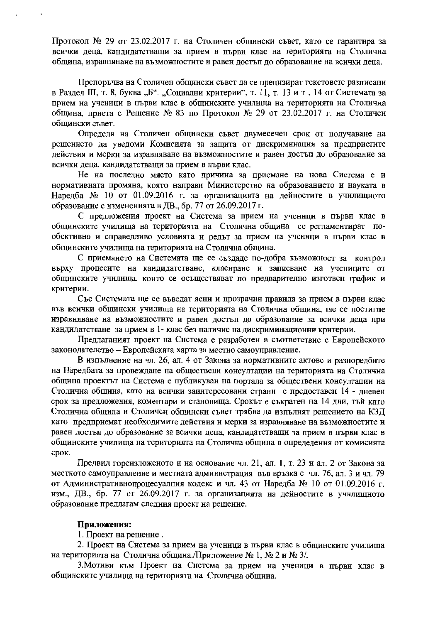Протокол № 29 от 23.02.2017 г. на Столичен общински съвет, като се гарантира за всички деца, кандидатстващи за прием в първи клас на територията на Столична община, изравнянане на възможностите и равен достъп до образование на всички деца.

Препоръчва на Столичен общински съвет да се прецизират текстовете разписани в Раздел III, т. 8, буква "Б". "Социални критерии", т. 11, т. 13 и т. 14 от Системата за прием на ученици в първи клас в общинските училища на територията на Столична община, приета с Решение № 83 по Протокол № 29 от 23.02.2017 г. на Столичен общински съвет.

Определя на Столичен общински съвет двумесечен срок от получаване на решението да уведоми Комисията за защита от дискриминация за предприетите действия и мерки за изравняване на възможностите и равен достъп до образование за всички деца, кандидатстващи за прием в първи клас.

Не на последно място като причина за приемане на нова Система е и нормативната промяна, която направи Министерство на образованието и науката в Наредба № 10 от 01.09.2016 г. за организацията на дейностите в училищното образование с измененията в ДВ., бр. 77 от 26.09.2017 г.

С предложения проект на Система за прием на ученици в първи клас в общинските училища на територията на Столична община се регламентират пообективно и справедливо условията и редът за прием на ученици в първи клас в общинските училища на територията на Столична община.

С приемането на Системата ще се създаде по-добра възможност за контрол върху процесите на кандидатстване, класиране и записване на учениците от общинските училища, които се осъществяват по предварително изготвен график и критерии.

Със Системата ще се въведат ясни и прозрачни правила за прием в първи клас във всички общински училища на територията на Столична община, ще се постигне изравняване на възможностите и равен достъп до образование за всички деца при кандидатстване за прием в 1- клас без наличие на дискриминационни критерии.

Предлаганият проект на Система е разработен в съответствие с Европейското законодателство - Европейската харта за местно самоуправление.

В изпълнение на чл. 26, ал. 4 от Закона за нормативните актове и разпоредбите на Наредбата за провеждане на обществени консултации на територията на Столична община проектът на Система е публикуван на портала за обществени консултации на Столична община, като на всички заинтересовани страни е предоставен 14 - дневен срок за предложения, коментари и становища. Срокът е съкратен на 14 дни, тъй като Столична община и Столичен общински съвет трябва да изпълнят решението на КЗД като предприемат необходимите действия и мерки за изравняване на възможностите и равен достъп до образование за всички деца, кандидатстващи за прием в първи клас в общинските училища на територията на Столична община в определения от комисията срок.

Предвид гореизложеното и на основание чл. 21, ал. I, т. 23 и ал. 2 от Закона за местното самоуправление и местната администрация във връзка с чл. 76, ал. 3 и чл. 79 от Административнопроцесуалния кодекс и чл. 43 от Наредба № 10 от 01.09.2016 г. изм., ДВ., бр. 77 от 26.09.2017 г. за организацията на дейностите в училищното образование предлагам следния проект на решение.

#### Приложения:

1. Проект на решение.

2. Проект на Система за прием на ученици в първи клас в общинските училища на територията на Столична община. Приложение № 1, № 2 и № 3/.

3. Мотиви към Проект на Система за прием на ученици в първи клас в общинските училища на територията на Столична община.